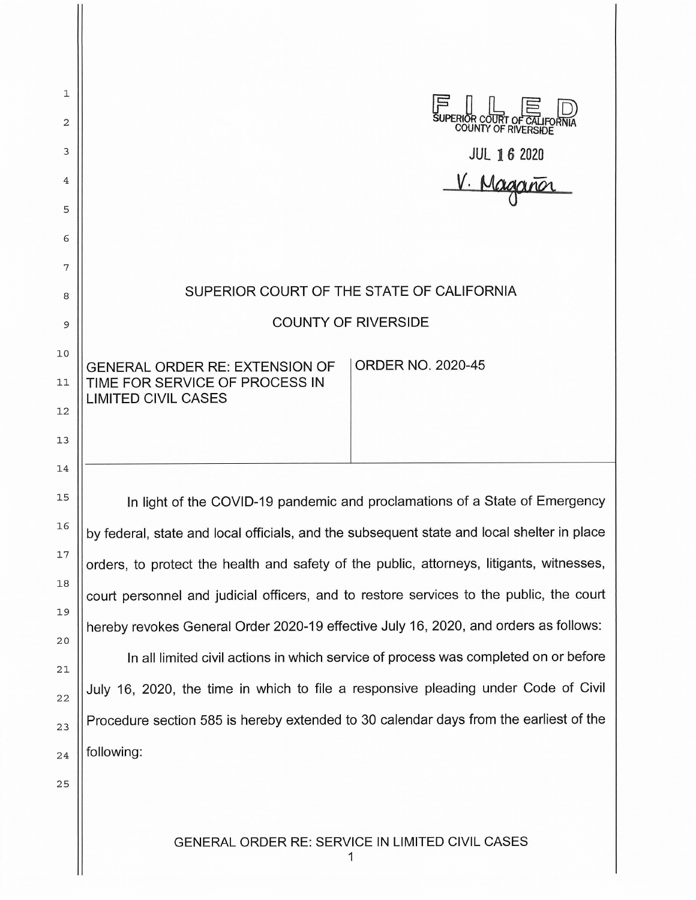| 1<br>2<br>3<br>4 | SUPERIOR COURT OF CALIFO<br>JUL 1 6 2020<br>V. Maganor                                              |
|------------------|-----------------------------------------------------------------------------------------------------|
| 5<br>6           |                                                                                                     |
| 7                |                                                                                                     |
| 8                | SUPERIOR COURT OF THE STATE OF CALIFORNIA                                                           |
| 9                | <b>COUNTY OF RIVERSIDE</b>                                                                          |
| 10<br>11         | <b>ORDER NO. 2020-45</b><br><b>GENERAL ORDER RE: EXTENSION OF</b><br>TIME FOR SERVICE OF PROCESS IN |
| 12<br>13         | <b>LIMITED CIVIL CASES</b>                                                                          |
| 14<br>15         | In light of the COVID-19 pandemic and proclamations of a State of Emergency                         |
| 16               | by federal, state and local officials, and the subsequent state and local shelter in place          |
| 17               | orders, to protect the health and safety of the public, attorneys, litigants, witnesses,            |
| 18               | court personnel and judicial officers, and to restore services to the public, the court             |
| 19<br>20         | hereby revokes General Order 2020-19 effective July 16, 2020, and orders as follows:                |
| 21               | In all limited civil actions in which service of process was completed on or before                 |
| 22               | July 16, 2020, the time in which to file a responsive pleading under Code of Civil                  |
| 23               | Procedure section 585 is hereby extended to 30 calendar days from the earliest of the               |
| 24               | following:                                                                                          |
| 25               |                                                                                                     |
|                  |                                                                                                     |

1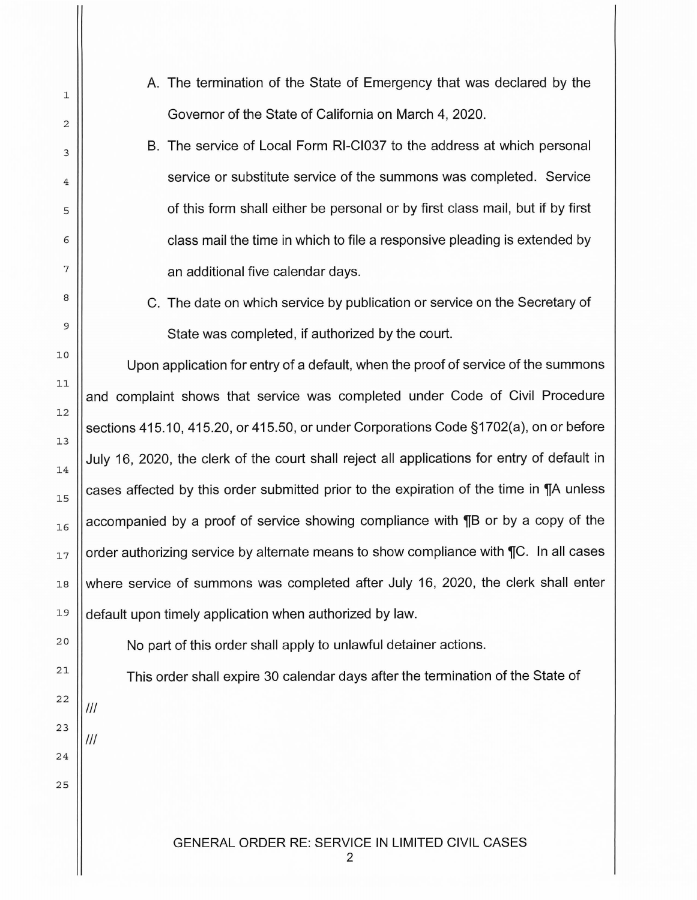- A. The termination of the State of Emergency that was declared by the Governor of the State of California on March 4, 2020.
- B. The service of Local Form RI-CI037 to the address at which personal service or substitute service of the summons was completed. Service of this form shall either be personal or by first class mail, but if by first class mail the time in which to file a responsive pleading is extended by an additional five calendar days.
- C. The date on which service by publication or service on the Secretary of State was completed, if authorized by the court.

Upon application for entry of a default, when the proof of service of the summons and complaint shows that service was completed under Code of Civil Procedure sections 415.10, 415.20, or 415.50, or under Corporations Code §1702(a), on or before July 16, 2020, the clerk of the court shall reject all applications for entry of default in cases affected by this order submitted prior to the expiration of the time in  $\P$ A unless accompanied by a proof of service showing compliance with **TH** or by a copy of the order authorizing service by alternate means to show compliance with  $\P C$ . In all cases where service of summons was completed after July 16, 2020, the clerk shall enter default upon timely application when authorized by law.

No part of this order shall apply to unlawful detainer actions.

This order shall expire 30 calendar days after the termination of the State of

Ill

Ill

1

2

3

4

5

6

7

8

9

10

1 1

1 2

13

1 4

1 5

16

17

1 8

19

2 0

21

22

23

24

2 5

GENERAL ORDER RE: SERVICE IN LIMITED CIVIL CASES